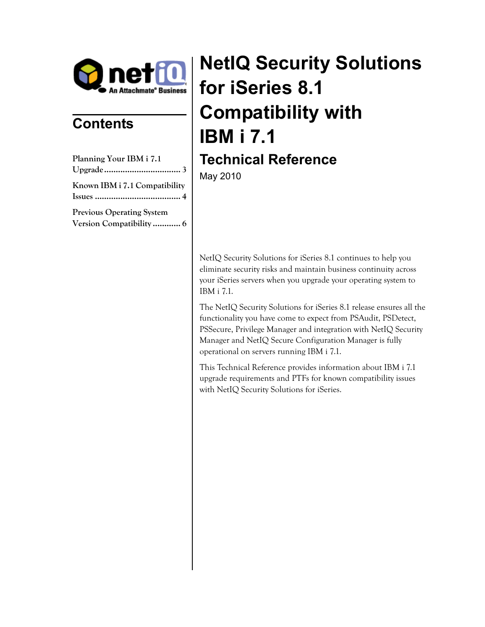

## **Contents**

| Planning Your IBM i 7.1                                     |  |
|-------------------------------------------------------------|--|
|                                                             |  |
| Known IBM i 7.1 Compatibility                               |  |
| <b>Previous Operating System</b><br>Version Compatibility 6 |  |

# **NetIQ Security Solutions for iSeries 8.1 Compatibility with IBM i 7.1 Technical Reference**

May 2010

NetIQ Security Solutions for iSeries 8.1 continues to help you eliminate security risks and maintain business continuity across your iSeries servers when you upgrade your operating system to IBM i 7.1.

The NetIQ Security Solutions for iSeries 8.1 release ensures all the functionality you have come to expect from PSAudit, PSDetect, PSSecure, Privilege Manager and integration with NetIQ Security Manager and NetIQ Secure Configuration Manager is fully operational on servers running IBM i 7.1.

This Technical Reference provides information about IBM i 7.1 upgrade requirements and PTFs for known compatibility issues with NetIQ Security Solutions for iSeries.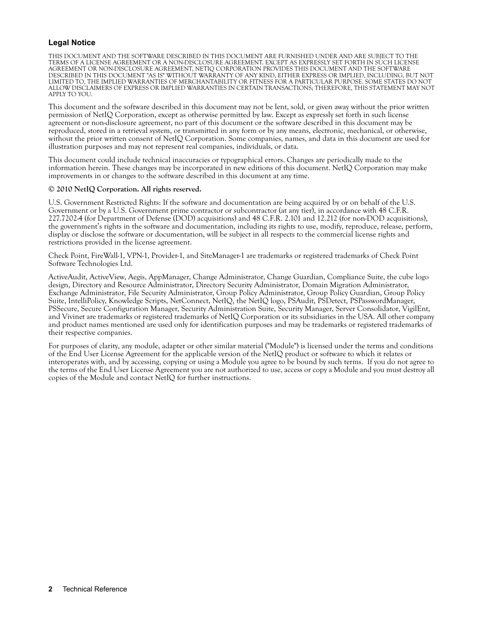#### **Legal Notice**

THIS DOCUMENT AND THE SOFTWARE DESCRIBED IN THIS DOCUMENT ARE FURNISHED UNDER AND ARE SUBJECT TO THE TERMS OF A LICENSE AGREEMENT OR A NON-DISCLOSURE AGREEMENT. EXCEPT AS EXPRESSLY SET FORTH IN SUCH LICENSE AGREEMENT OR NON-DISCLOSURE AGREEMENT, NETIQ CORPORATION PROVIDES THIS DOCUMENT AND THE SOFTWARE DESCRIBED IN THIS DOCUMENT "AS IS" WITHOUT WARRANTY OF ANY KIND, EITHER EXPRESS OR IMPLIED, INCLUDING, BUT NOT LIMITED TO, THE IMPLIED WARRANTIES OF MERCHANTABILITY OR FITNESS FOR A PARTICULAR PURPOSE. SOME STATES DO NOT ALLOW DISCLAIMERS OF EXPRESS OR IMPLIED WARRANTIES IN CERTAIN TRANSACTIONS; THEREFORE, THIS STATEMENT MAY NOT APPLY TO YOU.

This document and the software described in this document may not be lent, sold, or given away without the prior written permission of NetIQ Corporation, except as otherwise permitted by law. Except as expressly set forth in such license agreement or non-disclosure agreement, no part of this document or the software described in this document may be reproduced, stored in a retrieval system, or transmitted in any form or by any means, electronic, mechanical, or otherwise, without the prior written consent of NetIQ Corporation. Some companies, names, and data in this document are used for illustration purposes and may not represent real companies, individuals, or data.

This document could include technical inaccuracies or typographical errors. Changes are periodically made to the information herein. These changes may be incorporated in new editions of this document. NetIQ Corporation may make improvements in or changes to the software described in this document at any time.

#### **© 2010 NetIQ Corporation. All rights reserved.**

U.S. Government Restricted Rights: If the software and documentation are being acquired by or on behalf of the U.S. Government or by a U.S. Government prime contractor or subcontractor (at any tier), in accordance with 48 C.F.R. 227.72024 (for Department of Defense (DOD) acquisitions) and 48 C.F.R. 2.101 and 12.212 (for non-DOD acquisitions), the government's rights in the software and documentation, including its rights to use, modify, reproduce, release, perform, display or disclose the software or documentation, will be subject in all respects to the commercial license rights and restrictions provided in the license agreement.

Check Point, FireWall-1, VPN-1, Provider-1, and SiteManager-1 are trademarks or registered trademarks of Check Point Software Technologies Ltd.

ActiveAudit, ActiveView, Aegis, AppManager, Change Administrator, Change Guardian, Compliance Suite, the cube logo design, Directory and Resource Administrator, Directory Security Administrator, Domain Migration Administrator, Exchange Administrator, File Security Administrator, Group Policy Administrator, Group Policy Guardian, Group Policy Suite, IntelliPolicy, Knowledge Scripts, NetConnect, NetIQ, the NetIQ logo, PSAudit, PSDetect, PSPasswordManager, PSSecure, Secure Configuration Manager, Security Administration Suite, Security Manager, Server Consolidator, VigilEnt, and Vivinet are trademarks or registered trademarks of NetIQ Corporation or its subsidiaries in the USA. All other company and product names mentioned are used only for identification purposes and may be trademarks or registered trademarks of their respective companies.

For purposes of clarity, any module, adapter or other similar material ("Module") is licensed under the terms and conditions of the End User License Agreement for the applicable version of the NetIQ product or software to which it relates or interoperates with, and by accessing, copying or using a Module you agree to be bound by such terms. If you do not agree to the terms of the End User License Agreement you are not authorized to use, access or copy a Module and you must destroy all copies of the Module and contact NetIQ for further instructions.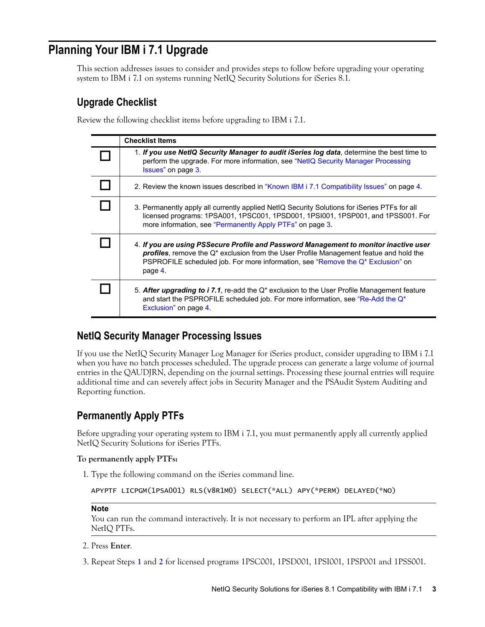## **Planning Your IBM i 7.1 Upgrade**

This section addresses issues to consider and provides steps to follow before upgrading your operating system to IBM i 7.1 on systems running NetIQ Security Solutions for iSeries 8.1.

## **Upgrade Checklist**

Review the following checklist items before upgrading to IBM i 7.1.

| <b>Checklist Items</b>                                                                                                                                                                                                                                                                   |
|------------------------------------------------------------------------------------------------------------------------------------------------------------------------------------------------------------------------------------------------------------------------------------------|
| 1. If you use NetIQ Security Manager to audit iSeries log data, determine the best time to<br>perform the upgrade. For more information, see "NetIQ Security Manager Processing<br>Issues" on page 3.                                                                                    |
| 2. Review the known issues described in "Known IBM i 7.1 Compatibility Issues" on page 4.                                                                                                                                                                                                |
| 3. Permanently apply all currently applied NetIQ Security Solutions for iSeries PTFs for all<br>licensed programs: 1PSA001, 1PSC001, 1PSD001, 1PSI001, 1PSP001, and 1PSS001. For<br>more information, see "Permanently Apply PTFs" on page 3.                                            |
| 4. If you are using PSSecure Profile and Password Management to monitor inactive user<br><b>profiles</b> , remove the $Q^*$ exclusion from the User Profile Management featue and hold the<br>PSPROFILE scheduled job. For more information, see "Remove the Q* Exclusion" on<br>page 4. |
| 5. After upgrading to i 7.1, re-add the Q <sup>*</sup> exclusion to the User Profile Management feature<br>and start the PSPROFILE scheduled job. For more information, see "Re-Add the Q*<br>Exclusion" on page 4.                                                                      |

## <span id="page-2-0"></span>**NetIQ Security Manager Processing Issues**

If you use the NetIQ Security Manager Log Manager for iSeries product, consider upgrading to IBM i 7.1 when you have no batch processes scheduled. The upgrade process can generate a large volume of journal entries in the QAUDJRN, depending on the journal settings. Processing these journal entries will require additional time and can severely affect jobs in Security Manager and the PSAudit System Auditing and Reporting function.

## <span id="page-2-1"></span>**Permanently Apply PTFs**

Before upgrading your operating system to IBM i 7.1, you must permanently apply all currently applied NetIQ Security Solutions for iSeries PTFs.

#### **To permanently apply PTFs:**

1. Type the following command on the iSeries command line.

```
APYPTF LICPGM(1PSA001) RLS(V8R1M0) SELECT(*ALL) APY(*PERM) DELAYED(*NO)
```
#### **Note**

You can run the command interactively. It is not necessary to perform an IPL after applying the NetIQ PTFs.

- <span id="page-2-2"></span>2. Press **Enter**.
- 3. Repeat Steps **1** and **[2](#page-2-2)** for licensed programs 1PSC001, 1PSD001, 1PSI001, 1PSP001 and 1PSS001.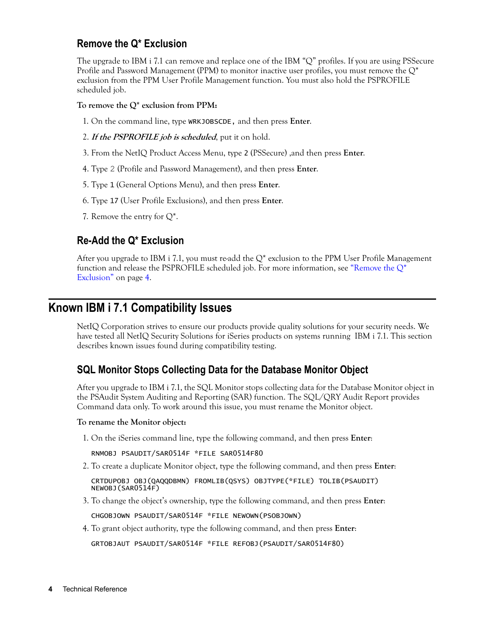## <span id="page-3-1"></span>**Remove the Q\* Exclusion**

The upgrade to IBM i 7.1 can remove and replace one of the IBM "Q" profiles. If you are using PSSecure Profile and Password Management (PPM) to monitor inactive user profiles, you must remove the  $Q^*$ exclusion from the PPM User Profile Management function. You must also hold the PSPROFILE scheduled job.

#### **To remove the Q\* exclusion from PPM:**

- 1. On the command line, type WRKJOBSCDE, and then press **Enter**.
- 2. **If the PSPROFILE job is scheduled**, put it on hold.
- 3. From the NetIQ Product Access Menu, type 2 (PSSecure) ,and then press **Enter**.
- 4. Type 2 (Profile and Password Management), and then press **Enter**.
- 5. Type 1 (General Options Menu), and then press **Enter**.
- 6. Type 17 (User Profile Exclusions), and then press **Enter**.
- 7. Remove the entry for  $Q^*$ .

## <span id="page-3-2"></span>**Re-Add the Q\* Exclusion**

After you upgrade to IBM i 7.1, you must re-add the  $Q^*$  exclusion to the PPM User Profile Management function and release the PSPROFILE scheduled job. For more information, see "Remove the  $Q^*$ [Exclusion" on page](#page-3-1) 4.

## <span id="page-3-0"></span>**Known IBM i 7.1 Compatibility Issues**

NetIQ Corporation strives to ensure our products provide quality solutions for your security needs. We have tested all NetIQ Security Solutions for iSeries products on systems running IBM i 7.1. This section describes known issues found during compatibility testing.

## **SQL Monitor Stops Collecting Data for the Database Monitor Object**

After you upgrade to IBM i 7.1, the SQL Monitor stops collecting data for the Database Monitor object in the PSAudit System Auditing and Reporting (SAR) function. The SQL/QRY Audit Report provides Command data only. To work around this issue, you must rename the Monitor object.

#### **To rename the Monitor object:**

1. On the iSeries command line, type the following command, and then press **Enter**:

```
RNMOBJ PSAUDIT/SAR0514F *FILE SAR0514F80
```
2. To create a duplicate Monitor object, type the following command, and then press **Enter**:

CRTDUPOBJ OBJ(QAQQDBMN) FROMLIB(QSYS) OBJTYPE(\*FILE) TOLIB(PSAUDIT) NEWOBJ(SAR0514F)

3. To change the object's ownership, type the following command, and then press **Enter**:

CHGOBJOWN PSAUDIT/SAR0514F \*FILE NEWOWN(PSOBJOWN)

4. To grant object authority, type the following command, and then press **Enter**:

GRTOBJAUT PSAUDIT/SAR0514F \*FILE REFOBJ(PSAUDIT/SAR0514F80)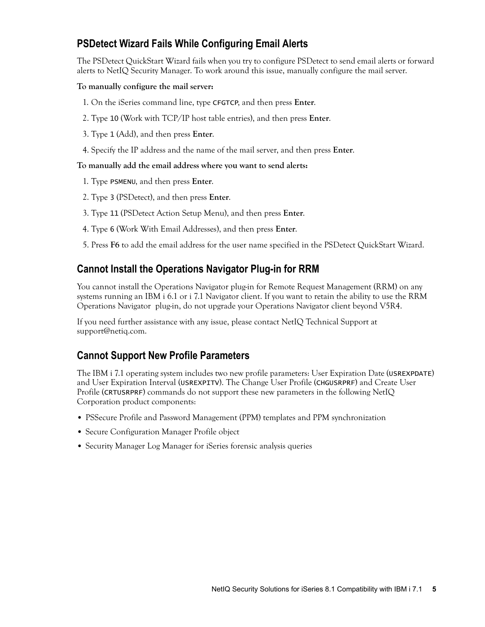## **PSDetect Wizard Fails While Configuring Email Alerts**

The PSDetect QuickStart Wizard fails when you try to configure PSDetect to send email alerts or forward alerts to NetIQ Security Manager. To work around this issue, manually configure the mail server.

#### **To manually configure the mail server:**

- 1. On the iSeries command line, type CFGTCP, and then press **Enter**.
- 2. Type 10 (Work with TCP/IP host table entries), and then press **Enter**.
- 3. Type 1 (Add), and then press **Enter**.
- 4. Specify the IP address and the name of the mail server, and then press **Enter**.

#### **To manually add the email address where you want to send alerts:**

- 1. Type PSMENU, and then press **Enter**.
- 2. Type 3 (PSDetect), and then press **Enter**.
- 3. Type 11 (PSDetect Action Setup Menu), and then press **Enter**.
- 4. Type 6 (Work With Email Addresses), and then press **Enter**.
- 5. Press **F6** to add the email address for the user name specified in the PSDetect QuickStart Wizard.

## **Cannot Install the Operations Navigator Plug-in for RRM**

You cannot install the Operations Navigator plug-in for Remote Request Management (RRM) on any systems running an IBM i 6.1 or i 7.1 Navigator client. If you want to retain the ability to use the RRM Operations Navigator plug-in, do not upgrade your Operations Navigator client beyond V5R4.

If you need further assistance with any issue, please contact NetIQ Technical Support at support@netiq.com.

## **Cannot Support New Profile Parameters**

The IBM i 7.1 operating system includes two new profile parameters: User Expiration Date (USREXPDATE) and User Expiration Interval (USREXPITV). The Change User Profile (CHGUSRPRF) and Create User Profile (CRTUSRPRF) commands do not support these new parameters in the following NetIQ Corporation product components:

- **•** PSSecure Profile and Password Management (PPM) templates and PPM synchronization
- **•** Secure Configuration Manager Profile object
- **•** Security Manager Log Manager for iSeries forensic analysis queries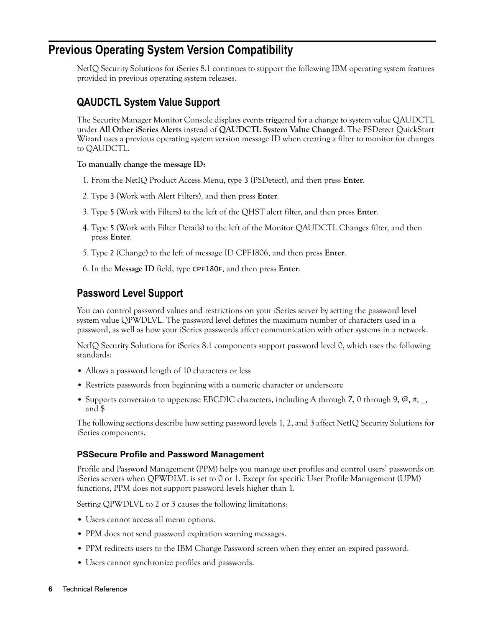## <span id="page-5-0"></span>**Previous Operating System Version Compatibility**

NetIQ Security Solutions for iSeries 8.1 continues to support the following IBM operating system features provided in previous operating system releases.

## **QAUDCTL System Value Support**

The Security Manager Monitor Console displays events triggered for a change to system value QAUDCTL under **All Other iSeries Alerts** instead of **QAUDCTL System Value Changed**. The PSDetect QuickStart Wizard uses a previous operating system version message ID when creating a filter to monitor for changes to QAUDCTL.

#### **To manually change the message ID:**

- 1. From the NetIQ Product Access Menu, type 3 (PSDetect), and then press **Enter**.
- 2. Type 3 (Work with Alert Filters), and then press **Enter**.
- 3. Type 5 (Work with Filters) to the left of the QHST alert filter, and then press **Enter**.
- 4. Type 5 (Work with Filter Details) to the left of the Monitor QAUDCTL Changes filter, and then press **Enter**.
- 5. Type 2 (Change) to the left of message ID CPF1806, and then press **Enter**.
- 6. In the **Message ID** field, type CPF180F, and then press **Enter**.

## **Password Level Support**

You can control password values and restrictions on your iSeries server by setting the password level system value QPWDLVL. The password level defines the maximum number of characters used in a password, as well as how your iSeries passwords affect communication with other systems in a network.

NetIQ Security Solutions for iSeries 8.1 components support password level 0, which uses the following standards:

- **•** Allows a password length of 10 characters or less
- **•** Restricts passwords from beginning with a numeric character or underscore
- Supports conversion to uppercase EBCDIC characters, including A through Z, 0 through 9, @, #, \_, and \$

The following sections describe how setting password levels 1, 2, and 3 affect NetIQ Security Solutions for iSeries components.

#### **PSSecure Profile and Password Management**

Profile and Password Management (PPM) helps you manage user profiles and control users' passwords on iSeries servers when QPWDLVL is set to 0 or 1. Except for specific User Profile Management (UPM) functions, PPM does not support password levels higher than 1.

Setting QPWDLVL to 2 or 3 causes the following limitations:

- **•** Users cannot access all menu options.
- **•** PPM does not send password expiration warning messages.
- **•** PPM redirects users to the IBM Change Password screen when they enter an expired password.
- **•** Users cannot synchronize profiles and passwords.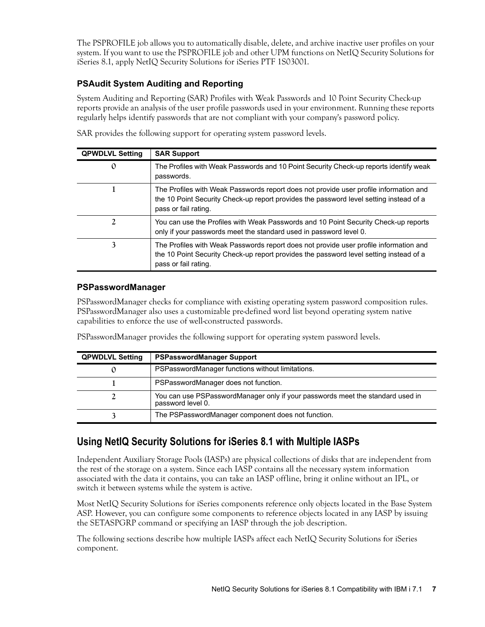The PSPROFILE job allows you to automatically disable, delete, and archive inactive user profiles on your system. If you want to use the PSPROFILE job and other UPM functions on NetIQ Security Solutions for iSeries 8.1, apply NetIQ Security Solutions for iSeries PTF 1S03001.

#### **PSAudit System Auditing and Reporting**

System Auditing and Reporting (SAR) Profiles with Weak Passwords and 10 Point Security Check-up reports provide an analysis of the user profile passwords used in your environment. Running these reports regularly helps identify passwords that are not compliant with your company's password policy.

| <b>QPWDLVL Setting</b> | <b>SAR Support</b>                                                                                                                                                                                      |
|------------------------|---------------------------------------------------------------------------------------------------------------------------------------------------------------------------------------------------------|
| 0                      | The Profiles with Weak Passwords and 10 Point Security Check-up reports identify weak<br>passwords.                                                                                                     |
|                        | The Profiles with Weak Passwords report does not provide user profile information and<br>the 10 Point Security Check-up report provides the password level setting instead of a<br>pass or fail rating. |
|                        | You can use the Profiles with Weak Passwords and 10 Point Security Check-up reports<br>only if your passwords meet the standard used in password level 0.                                               |
| 3                      | The Profiles with Weak Passwords report does not provide user profile information and<br>the 10 Point Security Check-up report provides the password level setting instead of a<br>pass or fail rating. |

SAR provides the following support for operating system password levels.

#### **PSPasswordManager**

PSPasswordManager checks for compliance with existing operating system password composition rules. PSPasswordManager also uses a customizable pre-defined word list beyond operating system native capabilities to enforce the use of well-constructed passwords.

PSPasswordManager provides the following support for operating system password levels.

| <b>QPWDLVL Setting</b> | <b>PSPasswordManager Support</b>                                                                    |
|------------------------|-----------------------------------------------------------------------------------------------------|
|                        | PSPasswordManager functions without limitations.                                                    |
|                        | PSPasswordManager does not function.                                                                |
|                        | You can use PSPasswordManager only if your passwords meet the standard used in<br>password level 0. |
|                        | The PSPasswordManager component does not function.                                                  |

## **Using NetIQ Security Solutions for iSeries 8.1 with Multiple IASPs**

Independent Auxiliary Storage Pools (IASPs) are physical collections of disks that are independent from the rest of the storage on a system. Since each IASP contains all the necessary system information associated with the data it contains, you can take an IASP offline, bring it online without an IPL, or switch it between systems while the system is active.

Most NetIQ Security Solutions for iSeries components reference only objects located in the Base System ASP. However, you can configure some components to reference objects located in any IASP by issuing the SETASPGRP command or specifying an IASP through the job description.

The following sections describe how multiple IASPs affect each NetIQ Security Solutions for iSeries component.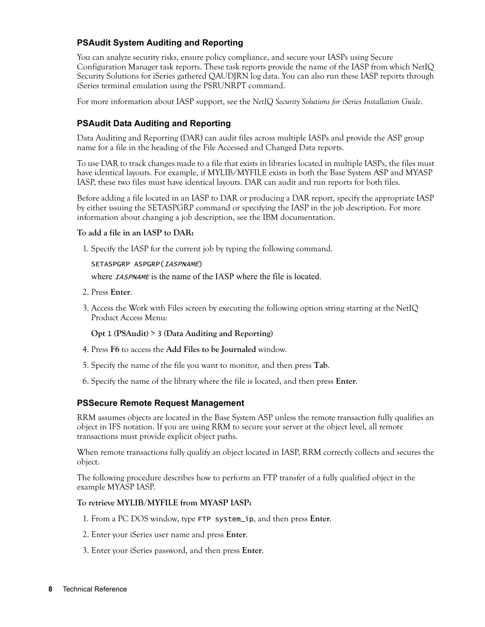#### **PSAudit System Auditing and Reporting**

You can analyze security risks, ensure policy compliance, and secure your IASPs using Secure Configuration Manager task reports. These task reports provide the name of the IASP from which NetIQ Security Solutions for iSeries gathered QAUDJRN log data. You can also run these IASP reports through iSeries terminal emulation using the PSRUNRPT command.

For more information about IASP support, see the *NetIQ Security Solutions for iSeries Installation Guide*.

#### **PSAudit Data Auditing and Reporting**

Data Auditing and Reporting (DAR) can audit files across multiple IASPs and provide the ASP group name for a file in the heading of the File Accessed and Changed Data reports.

To use DAR to track changes made to a file that exists in libraries located in multiple IASPs, the files must have identical layouts. For example, if MYLIB/MYFILE exists in both the Base System ASP and MYASP IASP, these two files must have identical layouts. DAR can audit and run reports for both files.

Before adding a file located in an IASP to DAR or producing a DAR report, specify the appropriate IASP by either issuing the SETASPGRP command or specifying the IASP in the job description. For more information about changing a job description, see the IBM documentation.

#### **To add a file in an IASP to DAR:**

1. Specify the IASP for the current job by typing the following command.

#### SETASPGRP ASPGRP(IASPNAME)

where *IASPNAME* is the name of the IASP where the file is located.

- 2. Press **Enter**.
- 3. Access the Work with Files screen by executing the following option string starting at the NetIQ Product Access Menu:

**Opt** 1 **(PSAudit)** > 3 **(Data Auditing and Reporting)**

- 4. Press **F6** to access the **Add Files to be Journaled** window.
- 5. Specify the name of the file you want to monitor, and then press **Tab**.
- 6. Specify the name of the library where the file is located, and then press **Enter**.

#### **PSSecure Remote Request Management**

RRM assumes objects are located in the Base System ASP unless the remote transaction fully qualifies an object in IFS notation. If you are using RRM to secure your server at the object level, all remote transactions must provide explicit object paths.

When remote transactions fully qualify an object located in IASP, RRM correctly collects and secures the object.

The following procedure describes how to perform an FTP transfer of a fully qualified object in the example MYASP IASP.

#### **To retrieve MYLIB/MYFILE from MYASP IASP:**

- 1. From a PC DOS window, type FTP system\_ip, and then press **Enter**.
- 2. Enter your iSeries user name and press **Enter**.
- 3. Enter your iSeries password, and then press **Enter**.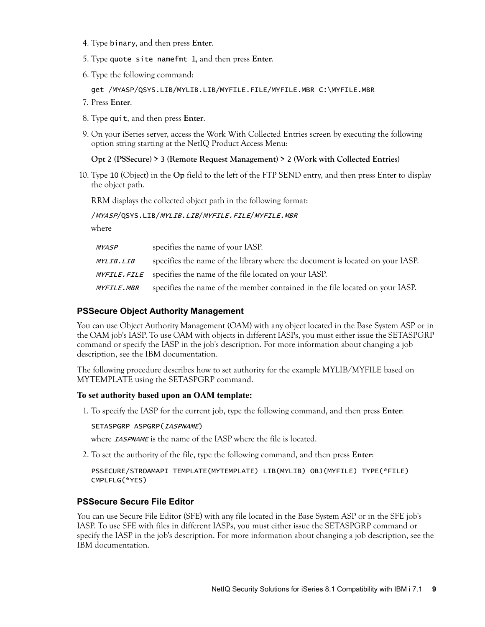- 4. Type binary, and then press **Enter**.
- 5. Type quote site namefmt 1, and then press **Enter**.
- 6. Type the following command:

get /MYASP/QSYS.LIB/MYLIB.LIB/MYFILE.FILE/MYFILE.MBR C:\MYFILE.MBR

- 7. Press **Enter**.
- 8. Type quit, and then press **Enter**.
- 9. On your iSeries server, access the Work With Collected Entries screen by executing the following option string starting at the NetIQ Product Access Menu:

#### **Opt** 2 **(PSSecure) >** 3 **(Remote Request Management) >** 2 **(Work with Collected Entries)**

10. Type 10 (Object) in the **Op** field to the left of the FTP SEND entry, and then press Enter to display the object path.

RRM displays the collected object path in the following format:

#### /MYASP/QSYS.LIB/MYLIB.LIB/MYFILE.FILE/MYFILE.MBR

where

| <i>MYASP</i>      | specifies the name of your IASP.                                              |
|-------------------|-------------------------------------------------------------------------------|
| <i>MYLIB.LIB</i>  | specifies the name of the library where the document is located on your IASP. |
|                   | MYFILE. FILE specifies the name of the file located on your IASP.             |
| <i>MYFILE.MBR</i> | specifies the name of the member contained in the file located on your IASP.  |

#### **PSSecure Object Authority Management**

You can use Object Authority Management (OAM) with any object located in the Base System ASP or in the OAM job's IASP. To use OAM with objects in different IASPs, you must either issue the SETASPGRP command or specify the IASP in the job's description. For more information about changing a job description, see the IBM documentation.

The following procedure describes how to set authority for the example MYLIB/MYFILE based on MYTEMPLATE using the SETASPGRP command.

#### **To set authority based upon an OAM template:**

1. To specify the IASP for the current job, type the following command, and then press **Enter**:

#### SETASPGRP ASPGRP(IASPNAME)

where **IASPNAME** is the name of the IASP where the file is located.

2. To set the authority of the file, type the following command, and then press **Enter**:

```
PSSECURE/STROAMAPI TEMPLATE(MYTEMPLATE) LIB(MYLIB) OBJ(MYFILE) TYPE(*FILE) 
CMPLFLG(*YES)
```
#### **PSSecure Secure File Editor**

You can use Secure File Editor (SFE) with any file located in the Base System ASP or in the SFE job's IASP. To use SFE with files in different IASPs, you must either issue the SETASPGRP command or specify the IASP in the job's description. For more information about changing a job description, see the IBM documentation.